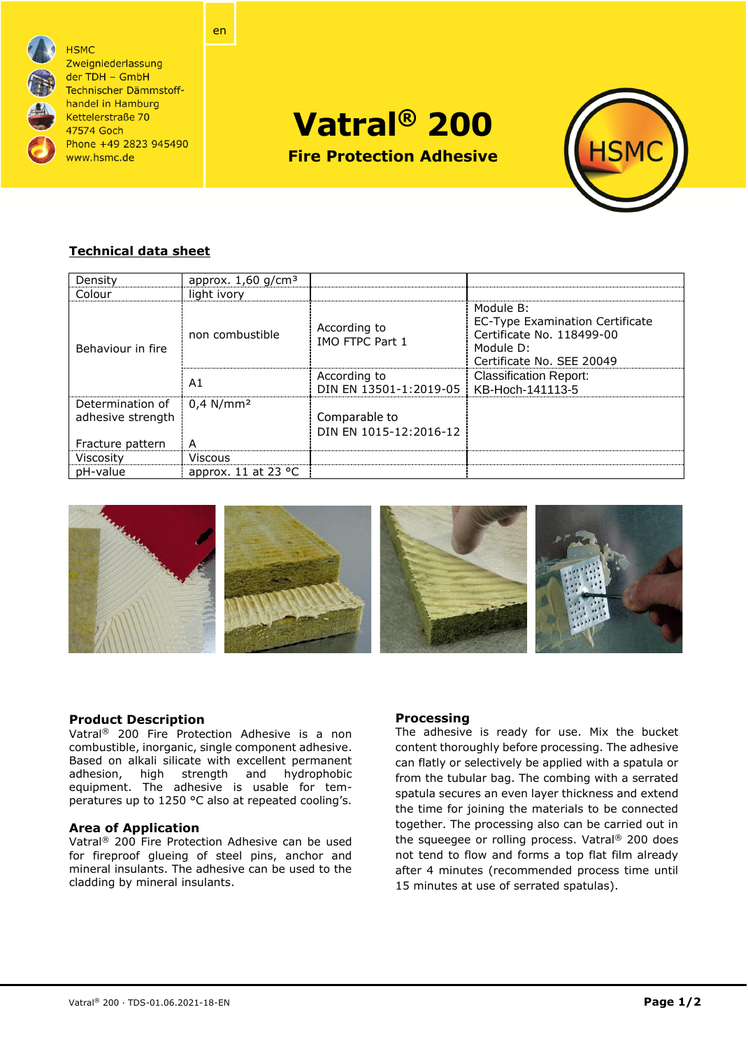

**HSMC** Zweigniederlassung der TDH - GmbH Technischer Dämmstoffhandel in Hamburg Kettelerstraße 70 47574 Goch Phone +49 2823 945490 www.hsmc.de

en

**Vatral® 200**

**Fire Protection Adhesive** 



# **Technical data sheet**

| Density                               | approx. $1,60$ g/cm <sup>3</sup> |                                         |                                                                                                                     |
|---------------------------------------|----------------------------------|-----------------------------------------|---------------------------------------------------------------------------------------------------------------------|
| Colour                                | light ivory                      |                                         |                                                                                                                     |
| Behaviour in fire                     | non combustible                  | According to<br>IMO FTPC Part 1         | Module B:<br>EC-Type Examination Certificate<br>Certificate No. 118499-00<br>Module D:<br>Certificate No. SEE 20049 |
|                                       | A1                               | According to<br>DIN EN 13501-1:2019-05  | <b>Classification Report:</b><br>KB-Hoch-141113-5                                                                   |
| Determination of<br>adhesive strength | $0.4$ N/mm <sup>2</sup>          | Comparable to<br>DIN EN 1015-12:2016-12 |                                                                                                                     |
| Fracture pattern                      | A                                |                                         |                                                                                                                     |
| Viscosity                             | <b>Viscous</b>                   |                                         |                                                                                                                     |
| pH-value                              | approx. 11 at 23 $^{\circ}$ C    |                                         |                                                                                                                     |



## **Product Description**

Vatral® 200 Fire Protection Adhesive is a non combustible, inorganic, single component adhesive. Based on alkali silicate with excellent permanent adhesion, high strength and hydrophobic equipment. The adhesive is usable for temperatures up to 1250 °C also at repeated cooling's.

## **Area of Application**

Vatral® 200 Fire Protection Adhesive can be used for fireproof glueing of steel pins, anchor and mineral insulants. The adhesive can be used to the cladding by mineral insulants.

## **Processing**

The adhesive is ready for use. Mix the bucket content thoroughly before processing. The adhesive can flatly or selectively be applied with a spatula or from the tubular bag. The combing with a serrated spatula secures an even layer thickness and extend the time for joining the materials to be connected together. The processing also can be carried out in the squeegee or rolling process. Vatral® 200 does not tend to flow and forms a top flat film already after 4 minutes (recommended process time until 15 minutes at use of serrated spatulas).